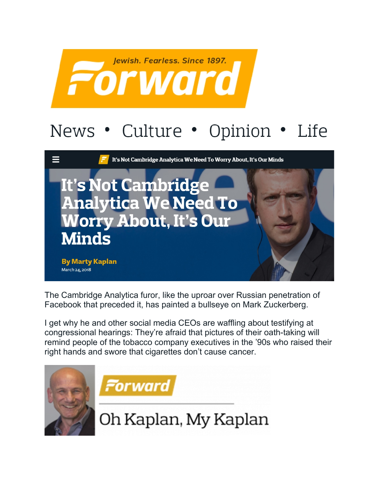

## News • Culture • Opinion • Life



The Cambridge Analytica furor, like the uproar over Russian penetration of Facebook that preceded it, has painted a bullseye on Mark Zuckerberg.

I get why he and other social media CEOs are waffling about testifying at congressional hearings: They're afraid that pictures of their oath-taking will remind people of the tobacco company executives in the '90s who raised their right hands and swore that cigarettes don't cause cancer.

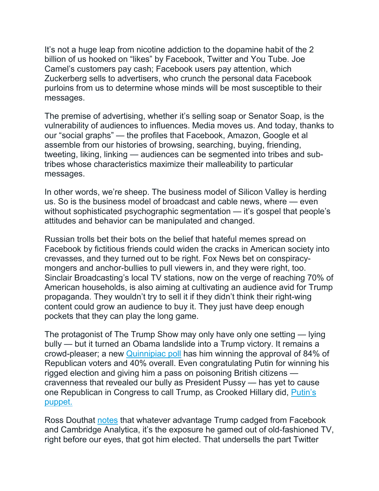It's not a huge leap from nicotine addiction to the dopamine habit of the 2 billion of us hooked on "likes" by Facebook, Twitter and You Tube. Joe Camel's customers pay cash; Facebook users pay attention, which Zuckerberg sells to advertisers, who crunch the personal data Facebook purloins from us to determine whose minds will be most susceptible to their messages.

The premise of advertising, whether it's selling soap or Senator Soap, is the vulnerability of audiences to influences. Media moves us. And today, thanks to our "social graphs" — the profiles that Facebook, Amazon, Google et al assemble from our histories of browsing, searching, buying, friending, tweeting, liking, linking — audiences can be segmented into tribes and subtribes whose characteristics maximize their malleability to particular messages.

In other words, we're sheep. The business model of Silicon Valley is herding us. So is the business model of broadcast and cable news, where — even without sophisticated psychographic segmentation — it's gospel that people's attitudes and behavior can be manipulated and changed.

Russian trolls bet their bots on the belief that hateful memes spread on Facebook by fictitious friends could widen the cracks in American society into crevasses, and they turned out to be right. Fox News bet on conspiracymongers and anchor-bullies to pull viewers in, and they were right, too. Sinclair Broadcasting's local TV stations, now on the verge of reaching 70% of American households, is also aiming at cultivating an audience avid for Trump propaganda. They wouldn't try to sell it if they didn't think their right-wing content could grow an audience to buy it. They just have deep enough pockets that they can play the long game.

The protagonist of The Trump Show may only have only one setting — lying bully — but it turned an Obama landslide into a Trump victory. It remains a crowd-pleaser; a new [Quinnipiac poll](https://poll.qu.edu/images/polling/us/us03212018_uhlp41.pdf/) has him winning the approval of 84% of Republican voters and 40% overall. Even congratulating Putin for winning his rigged election and giving him a pass on poisoning British citizens cravenness that revealed our bully as President Pussy — has yet to cause one Republican in Congress to call Trump, as Crooked Hillary did, [Putin's](https://www.youtube.com/watch?v=66xBDiGrvi8)  [puppet.](https://www.youtube.com/watch?v=66xBDiGrvi8)

Ross Douthat [notes](https://www.nytimes.com/2018/03/21/opinion/trump-facebook-cambridge-analytica-media.html) that whatever advantage Trump cadged from Facebook and Cambridge Analytica, it's the exposure he gamed out of old-fashioned TV, right before our eyes, that got him elected. That undersells the part Twitter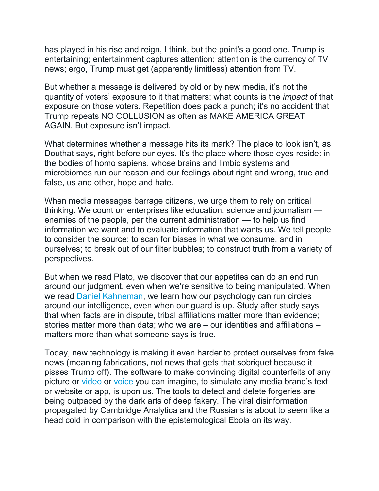has played in his rise and reign, I think, but the point's a good one. Trump is entertaining; entertainment captures attention; attention is the currency of TV news; ergo, Trump must get (apparently limitless) attention from TV.

But whether a message is delivered by old or by new media, it's not the quantity of voters' exposure to it that matters; what counts is the *impact* of that exposure on those voters. Repetition does pack a punch; it's no accident that Trump repeats NO COLLUSION as often as MAKE AMERICA GREAT AGAIN. But exposure isn't impact.

What determines whether a message hits its mark? The place to look isn't, as Douthat says, right before our eyes. It's the place where those eyes reside: in the bodies of homo sapiens, whose brains and limbic systems and microbiomes run our reason and our feelings about right and wrong, true and false, us and other, hope and hate.

When media messages barrage citizens, we urge them to rely on critical thinking. We count on enterprises like education, science and journalism enemies of the people, per the current administration — to help us find information we want and to evaluate information that wants us. We tell people to consider the source; to scan for biases in what we consume, and in ourselves; to break out of our filter bubbles; to construct truth from a variety of perspectives.

But when we read Plato, we discover that our appetites can do an end run around our judgment, even when we're sensitive to being manipulated. When we read [Daniel Kahneman,](https://www.amazon.com/Thinking-Fast-Slow-Daniel-Kahneman/dp/0374533555?tag=thefor03-20) we learn how our psychology can run circles around our intelligence, even when our guard is up. Study after study says that when facts are in dispute, tribal affiliations matter more than evidence; stories matter more than data; who we are – our identities and affiliations – matters more than what someone says is true.

Today, new technology is making it even harder to protect ourselves from fake news (meaning fabrications, not news that gets that sobriquet because it pisses Trump off). The software to make convincing digital counterfeits of any picture or [video](https://www.nytimes.com/2018/03/04/technology/fake-videos-deepfakes.html) or [voice](http://www.bbc.com/news/uk-scotland-edinburgh-east-fife-43429554) you can imagine, to simulate any media brand's text or website or app, is upon us. The tools to detect and delete forgeries are being outpaced by the dark arts of deep fakery. The viral disinformation propagated by Cambridge Analytica and the Russians is about to seem like a head cold in comparison with the epistemological Ebola on its way.